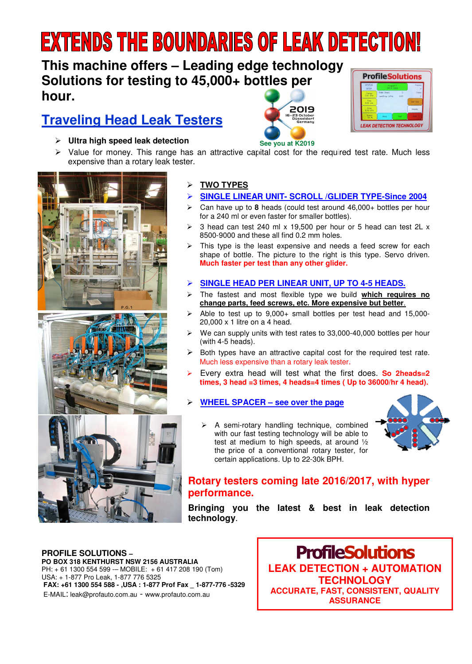# **EXTENDS THE BOUNDARIES OF LEAK DETECTION!**

## **This machine offers – Leading edge technology Solutions for testing to 45,000+ bottles per hour.**

# **Traveling Head Leak Testers**



 $\triangleright$  Value for money. This range has an attractive capital cost for the required test rate. Much less expensive than a rotary leak tester. **See you at K2019** 



#### **TWO TYPES**

#### **SINGLE LINEAR UNIT- SCROLL /GLIDER TYPE-Since 2004**

2019 -23 October<br>Düsseldorf<br>"Sennamı

- Can have up to **8** heads (could test around 46,000+ bottles per hour for a 240 ml or even faster for smaller bottles).
- 3 head can test 240 ml x 19,500 per hour or 5 head can test 2L x 8500-9000 and these all find 0.2 mm holes.
- $\triangleright$  This type is the least expensive and needs a feed screw for each shape of bottle. The picture to the right is this type. Servo driven. **Much faster per test than any other glider.**

#### **SINGLE HEAD PER LINEAR UNIT, UP TO 4-5 HEADS.**

- The fastest and most flexible type we build **which requires no change parts, feed screws, etc. More expensive but better**.
- Able to test up to 9,000+ small bottles per test head and 15,000- 20,000 x 1 litre on a 4 head.
- We can supply units with test rates to 33,000-40,000 bottles per hour (with 4-5 heads).
- Both types have an attractive capital cost for the required test rate. Much less expensive than a rotary leak tester.
- Every extra head will test what the first does. **So 2heads=2 times, 3 head =3 times, 4 heads=4 times ( Up to 36000/hr 4 head).**

#### **WHEEL SPACER – see over the page**

 A semi-rotary handling technique, combined with our fast testing technology will be able to test at medium to high speeds, at around ½ the price of a conventional rotary tester, for certain applications. Up to 22-30k BPH.



#### **Rotary testers coming late 2016/2017, with hyper performance.**

**Bringing you the latest & best in leak detection technology**.

#### **PROFILE SOLUTIONS – PO BOX 318 KENTHURST NSW 2156 AUSTRALIA**  PH: + 61 1300 554 599 -– MOBILE: + 61 417 208 190 (Tom) USA: + 1-877 Pro Leak, 1-877 776 5325  **FAX: +61 1300 554 588 - ,USA : 1-877 Prof Fax \_ 1-877-776 -5329**  E-MAIL: leak@profauto.com.au - www.profauto.com.au

**ProfileSolutions LEAK DETECTION + AUTOMATION TECHNOLOGY ACCURATE, FAST, CONSISTENT, QUALITY ASSURANCE**